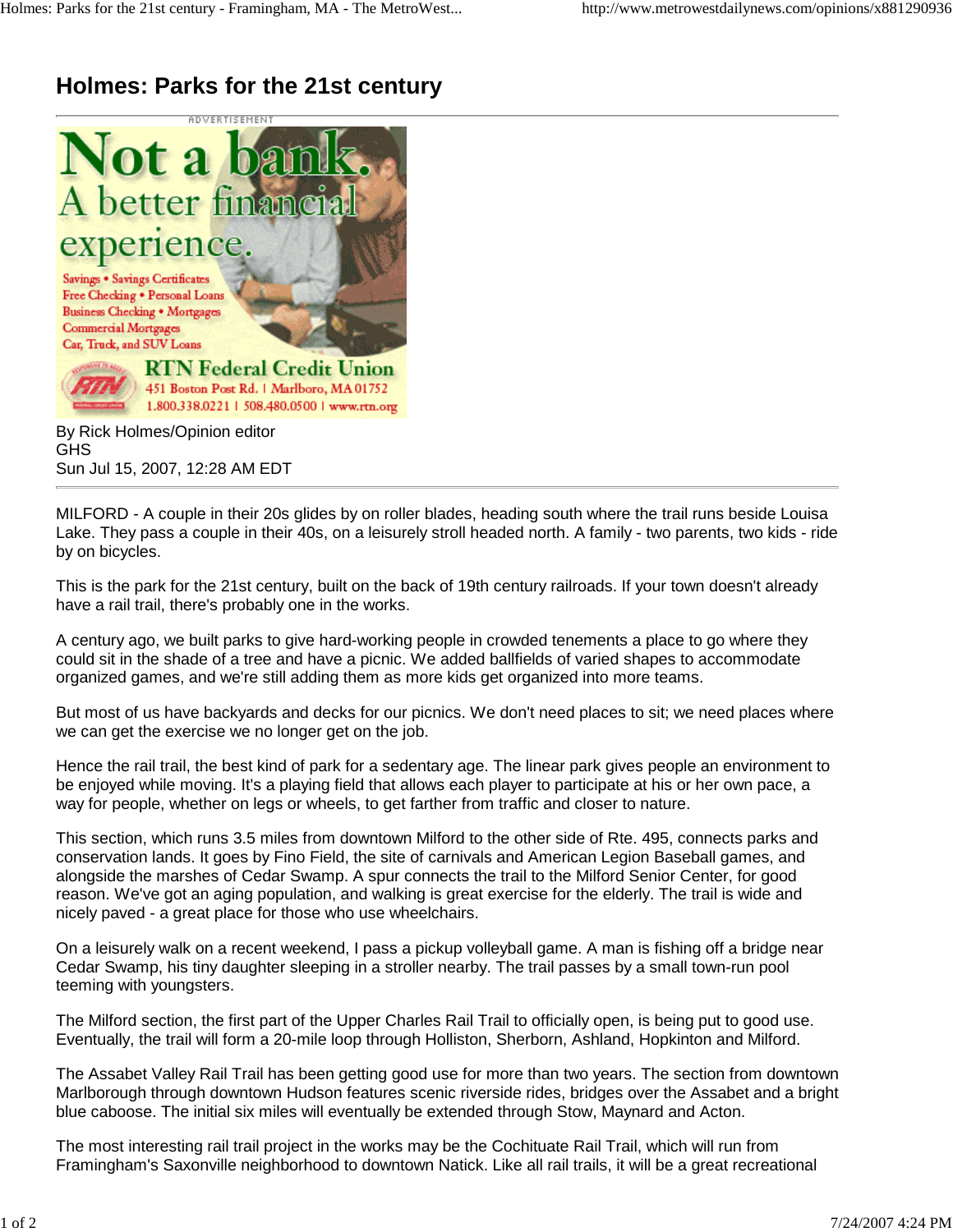## **Holmes: Parks for the 21st century**



By Rick Holmes/Opinion editor GHS Sun Jul 15, 2007, 12:28 AM EDT

MILFORD - A couple in their 20s glides by on roller blades, heading south where the trail runs beside Louisa Lake. They pass a couple in their 40s, on a leisurely stroll headed north. A family - two parents, two kids - ride by on bicycles.

This is the park for the 21st century, built on the back of 19th century railroads. If your town doesn't already have a rail trail, there's probably one in the works.

A century ago, we built parks to give hard-working people in crowded tenements a place to go where they could sit in the shade of a tree and have a picnic. We added ballfields of varied shapes to accommodate organized games, and we're still adding them as more kids get organized into more teams.

But most of us have backyards and decks for our picnics. We don't need places to sit; we need places where we can get the exercise we no longer get on the job.

Hence the rail trail, the best kind of park for a sedentary age. The linear park gives people an environment to be enjoyed while moving. It's a playing field that allows each player to participate at his or her own pace, a way for people, whether on legs or wheels, to get farther from traffic and closer to nature.

This section, which runs 3.5 miles from downtown Milford to the other side of Rte. 495, connects parks and conservation lands. It goes by Fino Field, the site of carnivals and American Legion Baseball games, and alongside the marshes of Cedar Swamp. A spur connects the trail to the Milford Senior Center, for good reason. We've got an aging population, and walking is great exercise for the elderly. The trail is wide and nicely paved - a great place for those who use wheelchairs.

On a leisurely walk on a recent weekend, I pass a pickup volleyball game. A man is fishing off a bridge near Cedar Swamp, his tiny daughter sleeping in a stroller nearby. The trail passes by a small town-run pool teeming with youngsters.

The Milford section, the first part of the Upper Charles Rail Trail to officially open, is being put to good use. Eventually, the trail will form a 20-mile loop through Holliston, Sherborn, Ashland, Hopkinton and Milford.

The Assabet Valley Rail Trail has been getting good use for more than two years. The section from downtown Marlborough through downtown Hudson features scenic riverside rides, bridges over the Assabet and a bright blue caboose. The initial six miles will eventually be extended through Stow, Maynard and Acton.

The most interesting rail trail project in the works may be the Cochituate Rail Trail, which will run from Framingham's Saxonville neighborhood to downtown Natick. Like all rail trails, it will be a great recreational